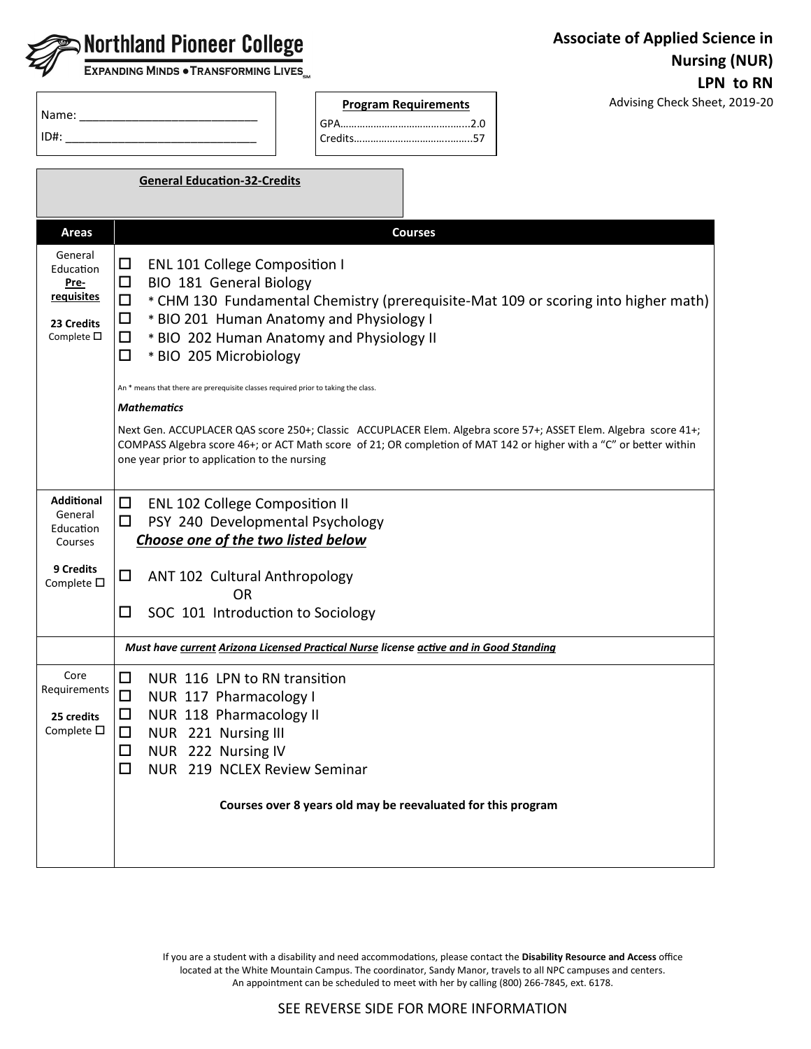|                                                                                       | <b>Associate of Applied Science in</b><br>$\blacktriangleright$ Northland Pioneer College<br><b>Nursing (NUR)</b><br>EXPANDING MINDS . TRANSFORMING LIVES                                                                                                                                                                                                                                                                                                                                                                                                                                                                                                                                                        |           |
|---------------------------------------------------------------------------------------|------------------------------------------------------------------------------------------------------------------------------------------------------------------------------------------------------------------------------------------------------------------------------------------------------------------------------------------------------------------------------------------------------------------------------------------------------------------------------------------------------------------------------------------------------------------------------------------------------------------------------------------------------------------------------------------------------------------|-----------|
|                                                                                       | Advising Check Sheet, 2019-20<br><b>Program Requirements</b><br>ID#: the contract of the contract of the contract of the contract of the contract of the contract of the contract of the contract of the contract of the contract of the contract of the contract of the contract of the contr                                                                                                                                                                                                                                                                                                                                                                                                                   | LPN to RN |
|                                                                                       | <b>General Education-32-Credits</b>                                                                                                                                                                                                                                                                                                                                                                                                                                                                                                                                                                                                                                                                              |           |
| <b>Areas</b>                                                                          | <b>Courses</b>                                                                                                                                                                                                                                                                                                                                                                                                                                                                                                                                                                                                                                                                                                   |           |
| General<br>Education<br><u>Pre-</u><br>requisites<br>23 Credits<br>Complete $\square$ | <b>ENL 101 College Composition I</b><br>□<br>BIO 181 General Biology<br>ப<br>* CHM 130 Fundamental Chemistry (prerequisite-Mat 109 or scoring into higher math)<br>□<br>* BIO 201 Human Anatomy and Physiology I<br>ப<br>* BIO 202 Human Anatomy and Physiology II<br>$\Box$<br>□<br>* BIO 205 Microbiology<br>An * means that there are prerequisite classes required prior to taking the class.<br><b>Mathematics</b><br>Next Gen. ACCUPLACER QAS score 250+; Classic ACCUPLACER Elem. Algebra score 57+; ASSET Elem. Algebra score 41+;<br>COMPASS Algebra score 46+; or ACT Math score of 21; OR completion of MAT 142 or higher with a "C" or better within<br>one year prior to application to the nursing |           |
| <b>Additional</b><br>General<br>Education<br>Courses                                  | □<br><b>ENL 102 College Composition II</b><br>PSY 240 Developmental Psychology<br>◻<br>Choose one of the two listed below                                                                                                                                                                                                                                                                                                                                                                                                                                                                                                                                                                                        |           |
| 9 Credits<br>Complete $\square$                                                       | □<br>ANT 102 Cultural Anthropology<br>0R<br>SOC 101 Introduction to Sociology<br>◻                                                                                                                                                                                                                                                                                                                                                                                                                                                                                                                                                                                                                               |           |
|                                                                                       | Must have current Arizona Licensed Practical Nurse license active and in Good Standing                                                                                                                                                                                                                                                                                                                                                                                                                                                                                                                                                                                                                           |           |
| Core<br>Requirements<br>25 credits<br>Complete $\square$                              | □<br>NUR 116 LPN to RN transition<br>□<br>NUR 117 Pharmacology I<br>NUR 118 Pharmacology II<br>□<br>NUR 221 Nursing III<br>□<br>NUR 222 Nursing IV<br>□<br>$\Box$<br>NUR 219 NCLEX Review Seminar<br>Courses over 8 years old may be reevaluated for this program                                                                                                                                                                                                                                                                                                                                                                                                                                                |           |

If you are a student with a disability and need accommodations, please contact the **Disability Resource and Access** office located at the White Mountain Campus. The coordinator, Sandy Manor, travels to all NPC campuses and centers. An appointment can be scheduled to meet with her by calling (800) 266-7845, ext. 6178.